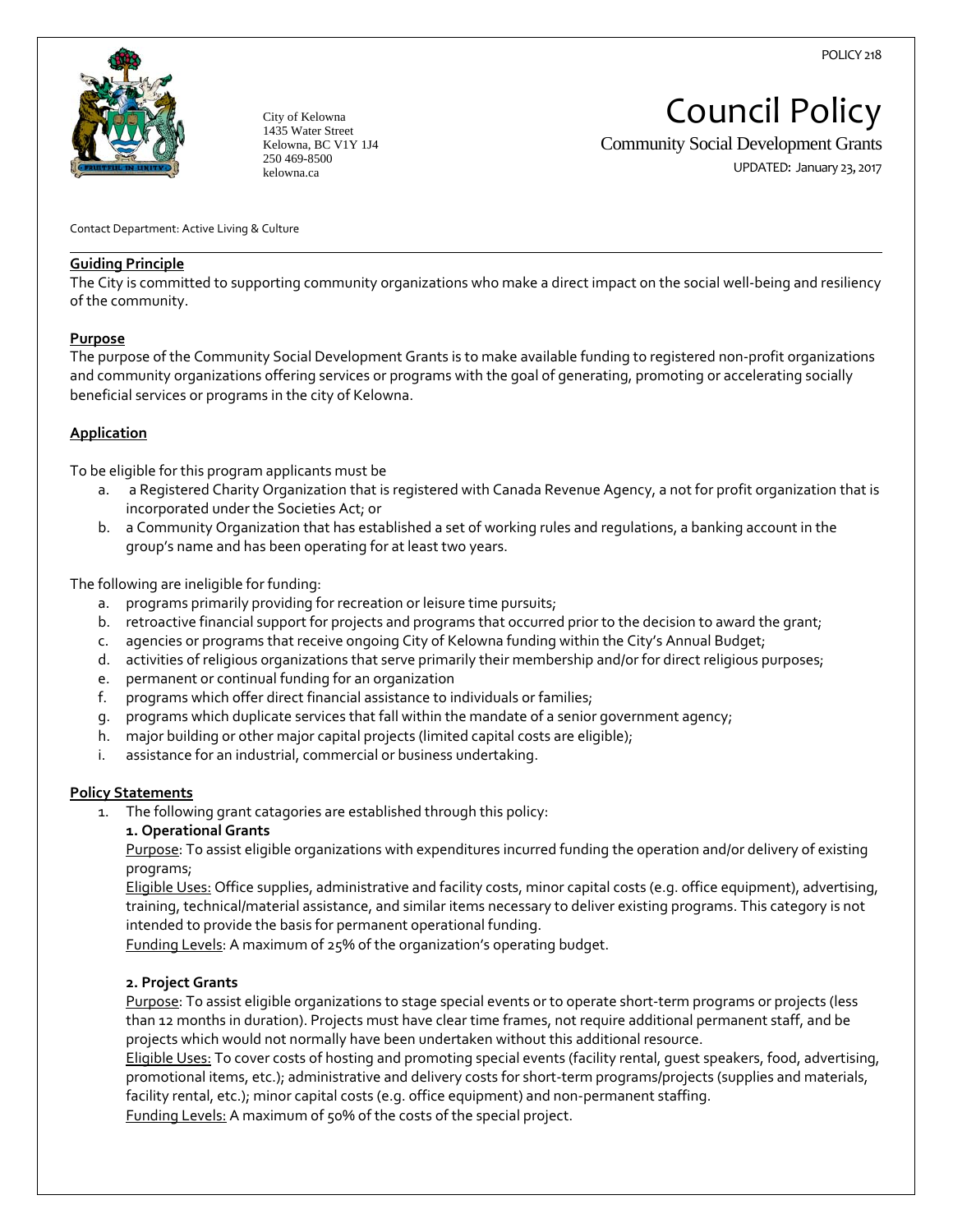

City of Kelowna 1435 Water Street Kelowna, BC V1Y 1J4 250 469-8500 kelowna.ca

# Council Policy

Community Social Development Grants

UPDATED: January 23, 2017

Contact Department: Active Living & Culture

## **Guiding Principle**

The City is committed to supporting community organizations who make a direct impact on the social well‐being and resiliency of the community.

## **Purpose**

l,

The purpose of the Community Social Development Grants is to make available funding to registered non‐profit organizations and community organizations offering services or programs with the goal of generating, promoting or accelerating socially beneficial services or programs in the city of Kelowna.

# **Application**

To be eligible for this program applicants must be

- a. a Registered Charity Organization that is registered with Canada Revenue Agency, a not for profit organization that is incorporated under the Societies Act; or
- b. a Community Organization that has established a set of working rules and regulations, a banking account in the group's name and has been operating for at least two years.

The following are ineligible for funding:

- a. programs primarily providing for recreation or leisure time pursuits;
- b. retroactive financial support for projects and programs that occurred prior to the decision to award the grant;
- c. agencies or programs that receive ongoing City of Kelowna funding within the City's Annual Budget;
- d. activities of religious organizations that serve primarily their membership and/or for direct religious purposes;
- e. permanent or continual funding for an organization
- f. programs which offer direct financial assistance to individuals or families;
- g. programs which duplicate services that fall within the mandate of a senior government agency;
- h. major building or other major capital projects (limited capital costs are eligible);
- i. assistance for an industrial, commercial or business undertaking.

### **Policy Statements**

- 1. The following grant catagories are established through this policy:
	- **1. Operational Grants**

Purpose: To assist eligible organizations with expenditures incurred funding the operation and/or delivery of existing programs;

Eligible Uses: Office supplies, administrative and facility costs, minor capital costs (e.g. office equipment), advertising, training, technical/material assistance, and similar items necessary to deliver existing programs. This category is not intended to provide the basis for permanent operational funding.

Funding Levels: A maximum of 25% of the organization's operating budget.

# **2. Project Grants**

Purpose: To assist eligible organizations to stage special events or to operate short-term programs or projects (less than 12 months in duration). Projects must have clear time frames, not require additional permanent staff, and be projects which would not normally have been undertaken without this additional resource.

Eligible Uses: To cover costs of hosting and promoting special events (facility rental, guest speakers, food, advertising, promotional items, etc.); administrative and delivery costs for short-term programs/projects (supplies and materials, facility rental, etc.); minor capital costs (e.g. office equipment) and non‐permanent staffing.

Funding Levels: A maximum of 50% of the costs of the special project.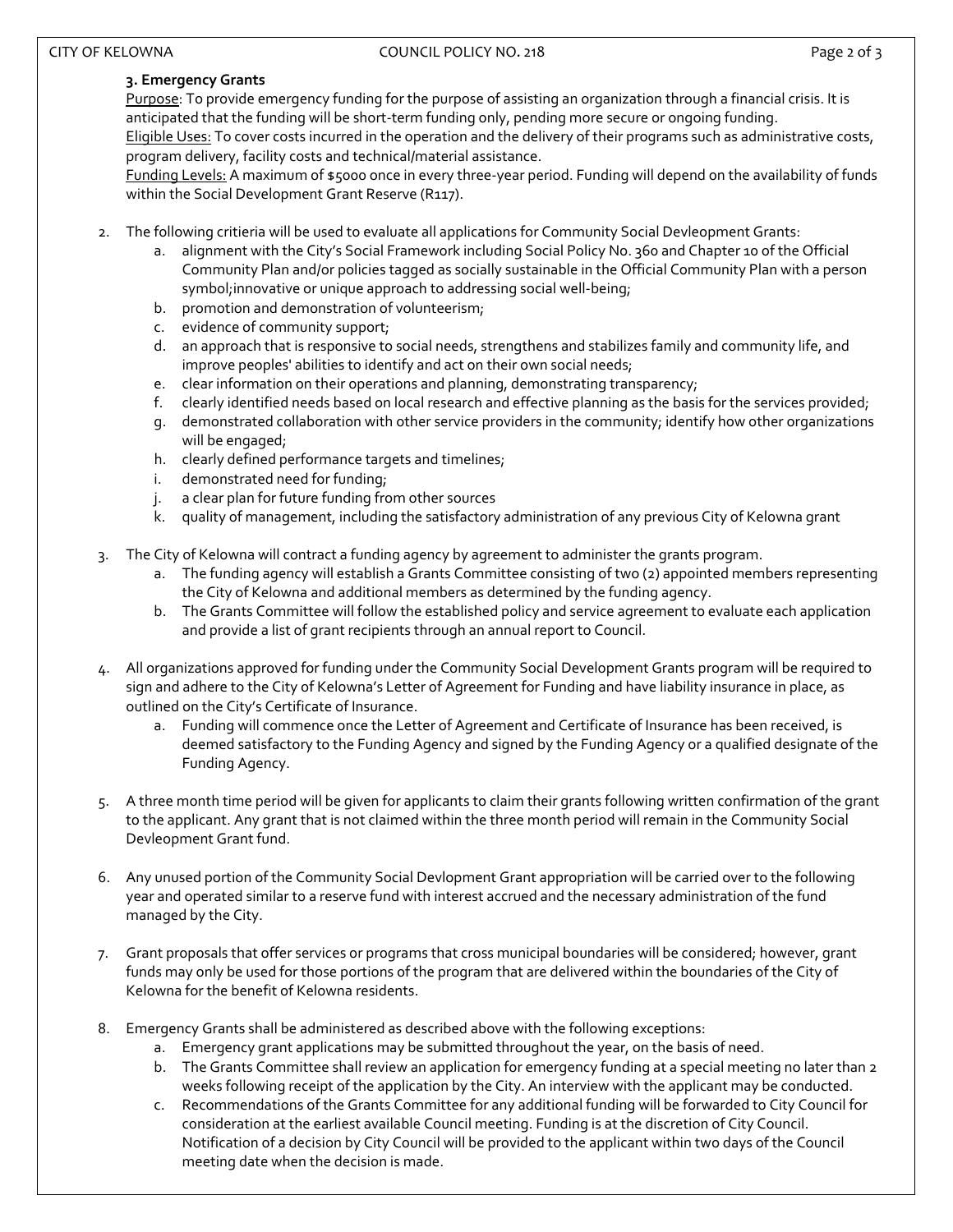# CITY OF KELOWNA **COUNCIL POLICY NO. 218 COUNCIL POLICY NO. 218 Page 2 of 3**

# **3. Emergency Grants**

Purpose: To provide emergency funding for the purpose of assisting an organization through a financial crisis. It is anticipated that the funding will be short-term funding only, pending more secure or ongoing funding. Eligible Uses: To cover costs incurred in the operation and the delivery of their programs such as administrative costs, program delivery, facility costs and technical/material assistance.

Funding Levels: A maximum of \$5000 once in every three‐year period. Funding will depend on the availability of funds within the Social Development Grant Reserve (R117).

- 2. The following critieria will be used to evaluate all applications for Community Social Devleopment Grants:
	- a. alignment with the City's Social Framework including Social Policy No. 360 and Chapter 10 of the Official Community Plan and/or policies tagged as socially sustainable in the Official Community Plan with a person symbol; innovative or unique approach to addressing social well-being;
	- b. promotion and demonstration of volunteerism;
	- c. evidence of community support;
	- d. an approach that is responsive to social needs, strengthens and stabilizes family and community life, and improve peoples' abilities to identify and act on their own social needs;
	- e. clear information on their operations and planning, demonstrating transparency;
	- f. clearly identified needs based on local research and effective planning as the basis for the services provided;
	- g. demonstrated collaboration with other service providers in the community; identify how other organizations will be engaged;
	- h. clearly defined performance targets and timelines;
	- i. demonstrated need for funding;
	- j. a clear plan for future funding from other sources
	- k. quality of management, including the satisfactory administration of any previous City of Kelowna grant
- 3. The City of Kelowna will contract a funding agency by agreement to administer the grants program.
	- a. The funding agency will establish a Grants Committee consisting of two (2) appointed members representing the City of Kelowna and additional members as determined by the funding agency.
	- b. The Grants Committee will follow the established policy and service agreement to evaluate each application and provide a list of grant recipients through an annual report to Council.
- 4. All organizations approved for funding under the Community Social Development Grants program will be required to sign and adhere to the City of Kelowna's Letter of Agreement for Funding and have liability insurance in place, as outlined on the City's Certificate of Insurance.
	- a. Funding will commence once the Letter of Agreement and Certificate of Insurance has been received, is deemed satisfactory to the Funding Agency and signed by the Funding Agency or a qualified designate of the Funding Agency.
- 5. A three month time period will be given for applicants to claim their grants following written confirmation of the grant to the applicant. Any grant that is not claimed within the three month period will remain in the Community Social Devleopment Grant fund.
- 6. Any unused portion of the Community Social Devlopment Grant appropriation will be carried over to the following year and operated similar to a reserve fund with interest accrued and the necessary administration of the fund managed by the City.
- 7. Grant proposals that offer services or programs that cross municipal boundaries will be considered; however, grant funds may only be used for those portions of the program that are delivered within the boundaries of the City of Kelowna for the benefit of Kelowna residents.
- 8. Emergency Grants shall be administered as described above with the following exceptions:
	- a. Emergency grant applications may be submitted throughout the year, on the basis of need.
	- b. The Grants Committee shall review an application for emergency funding at a special meeting no later than 2 weeks following receipt of the application by the City. An interview with the applicant may be conducted.
	- c. Recommendations of the Grants Committee for any additional funding will be forwarded to City Council for consideration at the earliest available Council meeting. Funding is at the discretion of City Council. Notification of a decision by City Council will be provided to the applicant within two days of the Council meeting date when the decision is made.